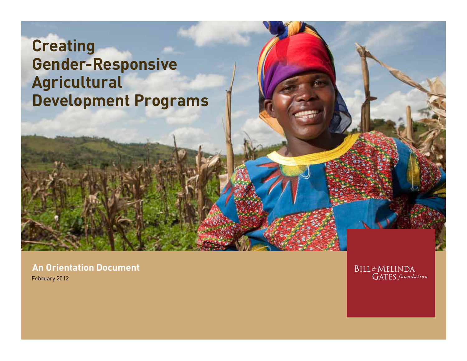### **Creating Gender-Responsive Agricultural Development Programs**

**An Orientation Document** February 2012

**BILL&MELINDA GATES** foundation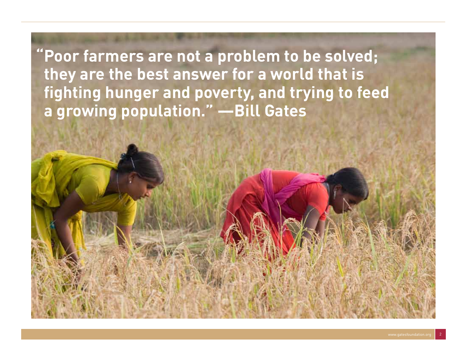**"Poor farmers are not a problem to be solved; they are the best answer for a world that is fighting hunger and poverty, and trying to feed a growing population." —Bill Gates**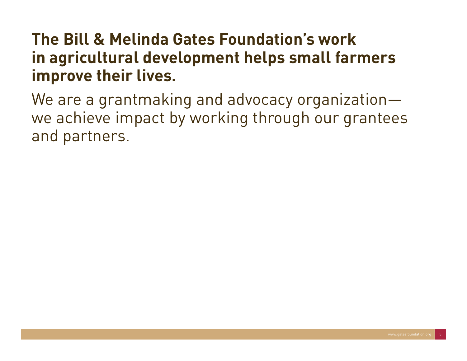### **The Bill & Melinda Gates Foundation's work in agricultural development helps small farmers improve their lives.**

We are a grantmaking and advocacy organizationwe achieve impact by working through our grantees and partners.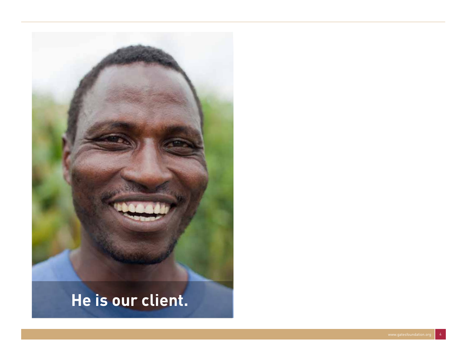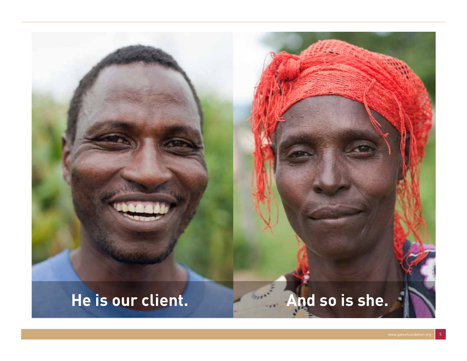## **He is our client. And so is she.**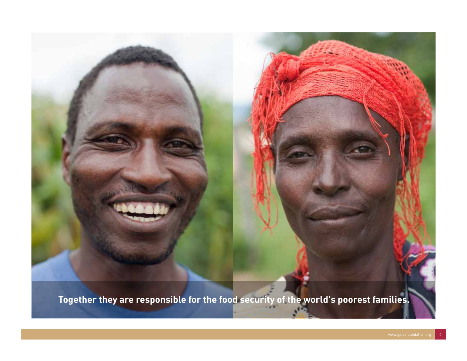**Together they are responsible for the food security of the world's poorest families.**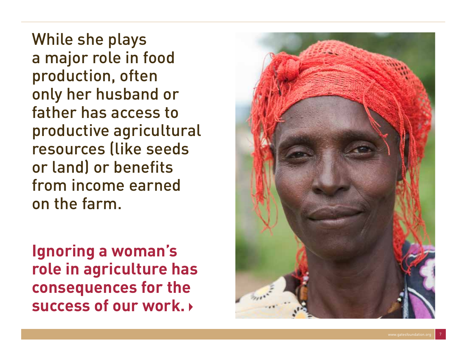While she plays a major role in food production, often only her husband or father has access to productive agricultural resources (like seeds or land) or benefits from income earned on the farm.

**Ignoring a woman's role in agriculture has consequences for the success of our work.** 

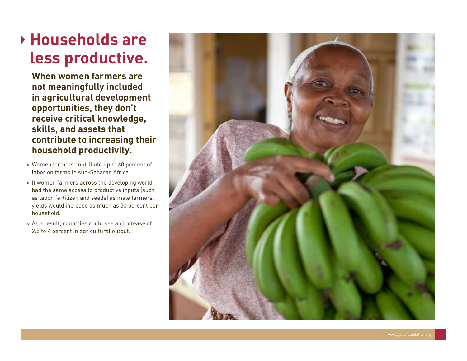### **Households are less productive.**

**When women farmers are not meaningfully included in agricultural development opportunities, they don't receive critical knowledge, skills, and assets that contribute to increasing their household productivity.** 

- » Women farmers contribute up to 60 percent of labor on farms in sub-Saharan Africa.
- » If women farmers across the developing world had the same access to productive inputs (such as labor, fertilizer, and seeds) as male farmers, yields would increase as much as 30 percent per household.
- » As a result, countries could see an increase of 2.5 to 4 percent in agricultural output.

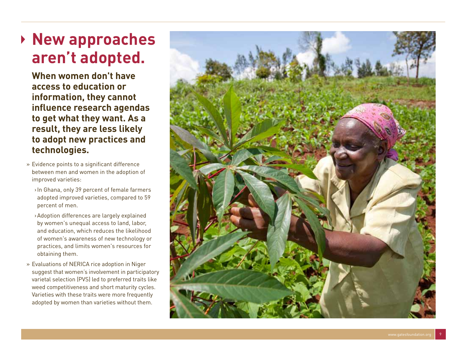### **New approaches aren't adopted.**

**When women don't have access to education or information, they cannot influence research agendas to get what they want. As a result, they are less likely to adopt new practices and technologies.**

- » Evidence points to a significant difference between men and women in the adoption of improved varieties:
	- ›In Ghana, only 39 percent of female farmers adopted improved varieties, compared to 59 percent of men.
	- ›Adoption differences are largely explained by women's unequal access to land, labor, and education, which reduces the likelihood of women's awareness of new technology or practices, and limits women's resources for obtaining them.
- » Evaluations of NERICA rice adoption in Niger suggest that women's involvement in participatory varietal selection (PVS) led to preferred traits like weed competitiveness and short maturity cycles. Varieties with these traits were more frequently adopted by women than varieties without them.

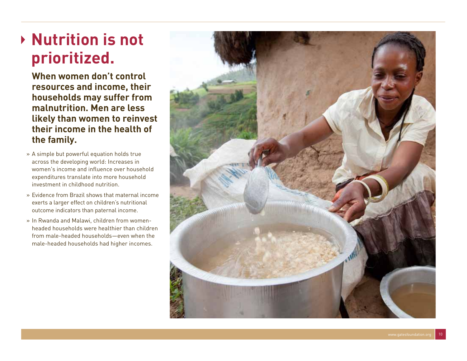## **Nutrition is not prioritized.**

**When women don't control resources and income, their households may suffer from malnutrition. Men are less likely than women to reinvest their income in the health of the family.**

- » A simple but powerful equation holds true across the developing world: Increases in women's income and influence over household expenditures translate into more household investment in childhood nutrition.
- » Evidence from Brazil shows that maternal income exerts a larger effect on children's nutritional outcome indicators than paternal income.
- » In Rwanda and Malawi, children from womenheaded households were healthier than children from male-headed households—even when the male-headed households had higher incomes.

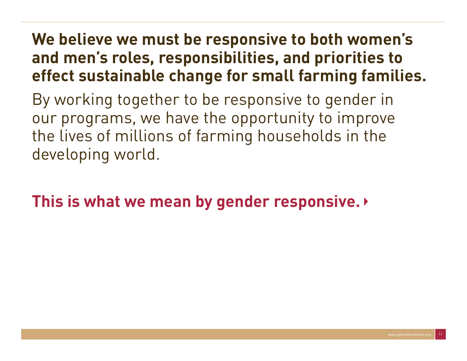### **We believe we must be responsive to both women's and men's roles, responsibilities, and priorities to effect sustainable change for small farming families.**

By working together to be responsive to gender in our programs, we have the opportunity to improve the lives of millions of farming households in the developing world.

**This is what we mean by gender responsive.**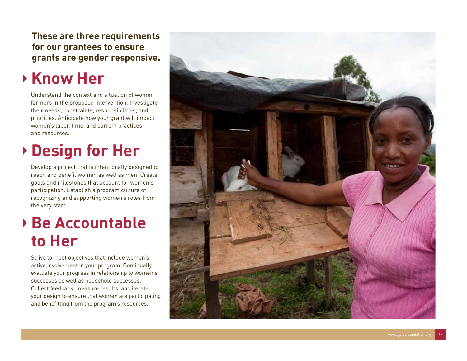**These are three requirements for our grantees to ensure grants are gender responsive.**

### **Know Her**

Understand the context and situation of women farmers in the proposed intervention. Investigate their needs, constraints, responsibilities, and priorities. Anticipate how your grant will impact women's labor, time, and current practices and resources.

## **Design for Her**

Develop a project that is intentionally designed to reach and benefit women as well as men. Create goals and milestones that account for women's participation. Establish a program culture of recognizing and supporting women's roles from the very start.

### **Be Accountable to Her**

Strive to meet objectives that include women's active involvement in your program. Continually evaluate your progress in relationship to women's successes as well as household successes. Collect feedback, measure results, and iterate your design to ensure that women are participating and benefitting from the program's resources.

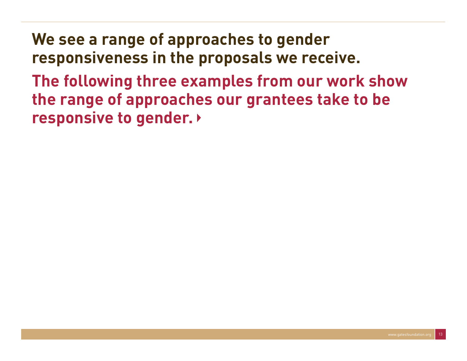**We see a range of approaches to gender responsiveness in the proposals we receive. The following three examples from our work show the range of approaches our grantees take to be responsive to gender.**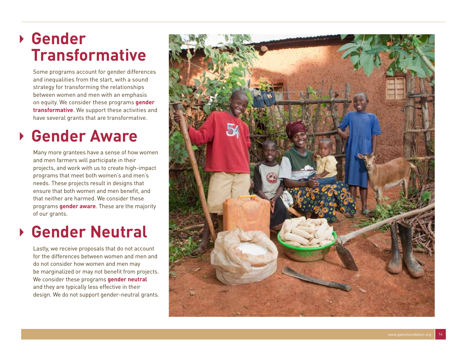### **Gender Transformative**

Some programs account for gender differences and inequalities from the start, with a sound strategy for transforming the relationships between women and men with an emphasis on equity. We consider these programs **gender transformative**. We support these activities and have several grants that are transformative.

### **Gender Aware**

Many more grantees have a sense of how women and men farmers will participate in their projects, and work with us to create high-impact programs that meet both women's and men's needs. These projects result in designs that ensure that both women and men benefit, and that neither are harmed. We consider these programs **gender aware**. These are the majority of our grants.

#### **Gender Neutral**

Lastly, we receive proposals that do not account for the differences between women and men and do not consider how women and men may be marginalized or may not benefit from projects. We consider these programs **gender neutral**  and they are typically less effective in their design. We do not support gender-neutral grants.

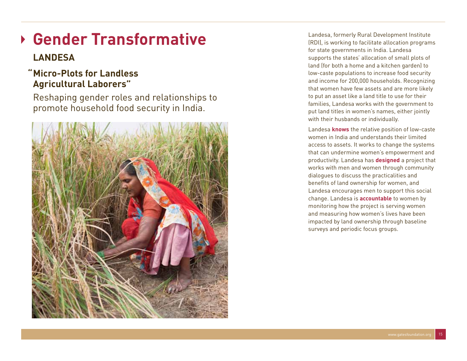## **Gender Transformative**

#### **LANDESA**

#### **"Micro-Plots for Landless Agricultural Laborers"**

 Reshaping gender roles and relationships to promote household food security in India.



Landesa, formerly Rural Development Institute (RDI), is working to facilitate allocation programs for state governments in India. Landesa supports the states' allocation of small plots of land (for both a home and a kitchen garden) to low-caste populations to increase food security and income for 200,000 households. Recognizing that women have few assets and are more likely to put an asset like a land title to use for their families, Landesa works with the government to put land titles in women's names, either jointly with their husbands or individually.

Landesa **knows** the relative position of low-caste women in India and understands their limited access to assets. It works to change the systems that can undermine women's empowerment and productivity. Landesa has **designed** a project that works with men and women through community dialogues to discuss the practicalities and benefits of land ownership for women, and Landesa encourages men to support this social change. Landesa is **accountable** to women by monitoring how the project is serving women and measuring how women's lives have been impacted by land ownership through baseline surveys and periodic focus groups.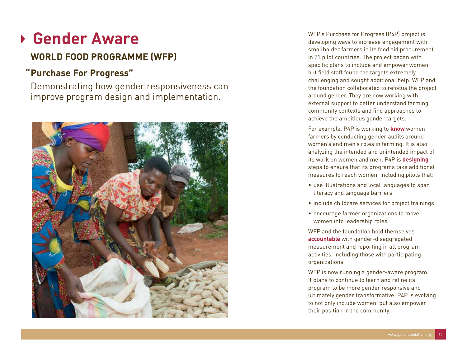## **Gender Aware**

#### **WORLD FOOD PROGRAMME (WFP)**

#### **"Purchase For Progress"**

 Demonstrating how gender responsiveness can improve program design and implementation.



WFP's Purchase for Progress (P4P) project is developing ways to increase engagement with smallholder farmers in its food aid procurement in 21 pilot countries. The project began with specific plans to include and empower women, but field staff found the targets extremely challenging and sought additional help. WFP and the foundation collaborated to refocus the project around gender. They are now working with external support to better understand farming community contexts and find approaches to achieve the ambitious gender targets.

For example, P4P is working to **know** women farmers by conducting gender audits around women's and men's roles in farming. It is also analyzing the intended and unintended impact of its work on women and men. P4P is **designing** steps to ensure that its programs take additional measures to reach women, including pilots that:

- use illustrations and local languages to span literacy and language barriers
- include childcare services for project trainings
- encourage farmer organizations to move women into leadership roles

WFP and the foundation hold themselves **accountable** with gender-disaggregated measurement and reporting in all program activities, including those with participating organizations.

WFP is now running a gender-aware program. It plans to continue to learn and refine its program to be more gender responsive and ultimately gender transformative. P4P is evolving to not only include women, but also empower their position in the community.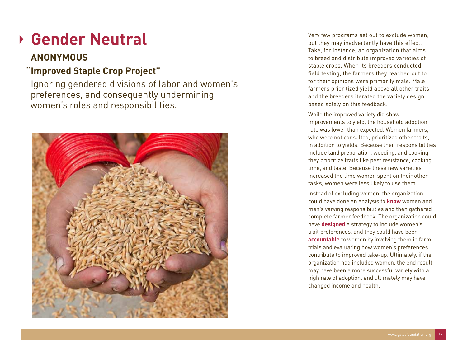## **Gender Neutral**

#### **Anonymous**

#### **"Improved Staple Crop Project"**

 Ignoring gendered divisions of labor and women's preferences, and consequently undermining women's roles and responsibilities.



Very few programs set out to exclude women, but they may inadvertently have this effect. Take, for instance, an organization that aims to breed and distribute improved varieties of staple crops. When its breeders conducted field testing, the farmers they reached out to for their opinions were primarily male. Male farmers prioritized yield above all other traits and the breeders iterated the variety design based solely on this feedback.

While the improved variety did show improvements to yield, the household adoption rate was lower than expected. Women farmers, who were not consulted, prioritized other traits, in addition to yields. Because their responsibilities include land preparation, weeding, and cooking, they prioritize traits like pest resistance, cooking time, and taste. Because these new varieties increased the time women spent on their other tasks, women were less likely to use them.

Instead of excluding women, the organization could have done an analysis to **know** women and men's varying responsibilities and then gathered complete farmer feedback. The organization could have **designed** a strategy to include women's trait preferences, and they could have been **accountable** to women by involving them in farm trials and evaluating how women's preferences contribute to improved take-up. Ultimately, if the organization had included women, the end result may have been a more successful variety with a high rate of adoption, and ultimately may have changed income and health.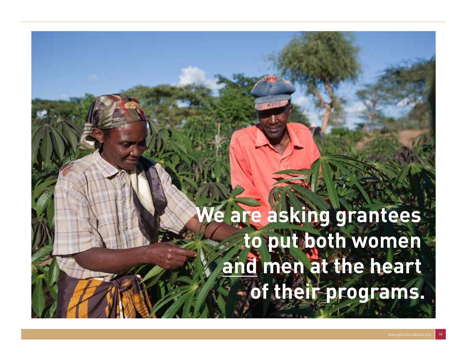# **We are asking grantees to put both women and men at the heart of their programs.**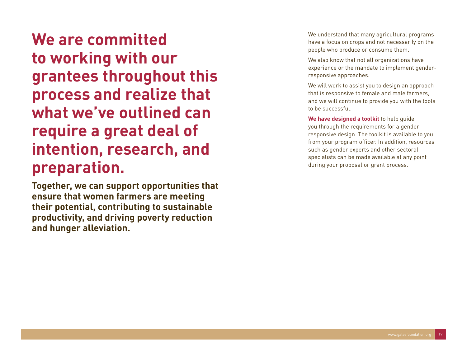**We are committed to working with our grantees throughout this process and realize that what we've outlined can require a great deal of intention, research, and preparation.**

**Together, we can support opportunities that ensure that women farmers are meeting their potential, contributing to sustainable productivity, and driving poverty reduction and hunger alleviation.**

We understand that many agricultural programs have a focus on crops and not necessarily on the people who produce or consume them.

We also know that not all organizations have experience or the mandate to implement genderresponsive approaches.

We will work to assist you to design an approach that is responsive to female and male farmers, and we will continue to provide you with the tools to be successful.

**We have designed a toolkit** to help guide you through the requirements for a genderresponsive design. The toolkit is available to you from your program officer. In addition, resources such as gender experts and other sectoral specialists can be made available at any point during your proposal or grant process.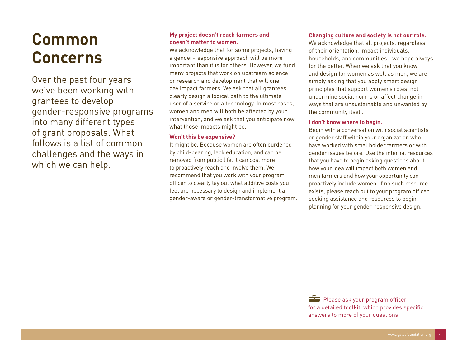## **Common Concerns**

Over the past four years we've been working with grantees to develop gender-responsive programs into many different types of grant proposals. What follows is a list of common challenges and the ways in which we can help.

#### **My project doesn't reach farmers and doesn't matter to women.**

We acknowledge that for some projects, having a gender-responsive approach will be more important than it is for others. However, we fund many projects that work on upstream science or research and development that will one day impact farmers. We ask that all grantees clearly design a logical path to the ultimate user of a service or a technology. In most cases, women and men will both be affected by your intervention, and we ask that you anticipate now what those impacts might be.

#### **Won't this be expensive?**

It might be. Because women are often burdened by child-bearing, lack education, and can be removed from public life, it can cost more to proactively reach and involve them. We recommend that you work with your program officer to clearly lay out what additive costs you feel are necessary to design and implement a gender-aware or gender-transformative program.

#### **Changing culture and society is not our role.**

We acknowledge that all projects, regardless of their orientation, impact individuals, households, and communities—we hope always for the better. When we ask that you know and design for women as well as men, we are simply asking that you apply smart design principles that support women's roles, not undermine social norms or affect change in ways that are unsustainable and unwanted by the community itself.

#### **I don't know where to begin.**

Begin with a conversation with social scientists or gender staff within your organization who have worked with smallholder farmers or with gender issues before. Use the internal resources that you have to begin asking questions about how your idea will impact both women and men farmers and how your opportunity can proactively include women. If no such resource exists, please reach out to your program officer seeking assistance and resources to begin planning for your gender-responsive design.

**Please ask your program officer** for a detailed toolkit, which provides specific answers to more of your questions.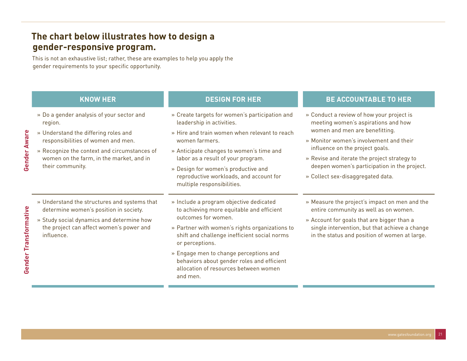#### **The chart below illustrates how to design a gender-responsive program.**

This is not an exhaustive list; rather, these are examples to help you apply the gender requirements to your specific opportunity.

| <b>KNOW HER</b>                                                                                                                                                                                                                                    | <b>DESIGN FOR HER</b>                                                                                                                                                                                                                                                                                                                                                         | <b>BE ACCOUNTABLE TO HER</b>                                                                                                                                                                                                                                                                                                                                                                                                                                                                                                                                                     |
|----------------------------------------------------------------------------------------------------------------------------------------------------------------------------------------------------------------------------------------------------|-------------------------------------------------------------------------------------------------------------------------------------------------------------------------------------------------------------------------------------------------------------------------------------------------------------------------------------------------------------------------------|----------------------------------------------------------------------------------------------------------------------------------------------------------------------------------------------------------------------------------------------------------------------------------------------------------------------------------------------------------------------------------------------------------------------------------------------------------------------------------------------------------------------------------------------------------------------------------|
| » Do a gender analysis of your sector and<br>region.<br>» Understand the differing roles and<br>responsibilities of women and men.<br>» Recognize the context and circumstances of<br>women on the farm, in the market, and in<br>their community. | » Create targets for women's participation and<br>leadership in activities.<br>» Hire and train women when relevant to reach<br>women farmers.<br>» Anticipate changes to women's time and<br>labor as a result of your program.<br>» Design for women's productive and<br>reproductive workloads, and account for<br>multiple responsibilities.                              | » Conduct a review of how your project is<br>meeting women's aspirations and how<br>women and men are benefitting.<br>» Monitor women's involvement and their<br>influence on the project goals.<br>» Revise and iterate the project strategy to<br>deepen women's participation in the project.<br>» Collect sex-disaggregated data.<br>» Measure the project's impact on men and the<br>entire community as well as on women.<br>» Account for goals that are bigger than a<br>single intervention, but that achieve a change<br>in the status and position of women at large. |
| » Understand the structures and systems that<br>determine women's position in society.<br>» Study social dynamics and determine how<br>the project can affect women's power and<br>influence.                                                      | » Include a program objective dedicated<br>to achieving more equitable and efficient<br>outcomes for women.<br>» Partner with women's rights organizations to<br>shift and challenge inefficient social norms<br>or perceptions.<br>» Engage men to change perceptions and<br>behaviors about gender roles and efficient<br>allocation of resources between women<br>and men. |                                                                                                                                                                                                                                                                                                                                                                                                                                                                                                                                                                                  |